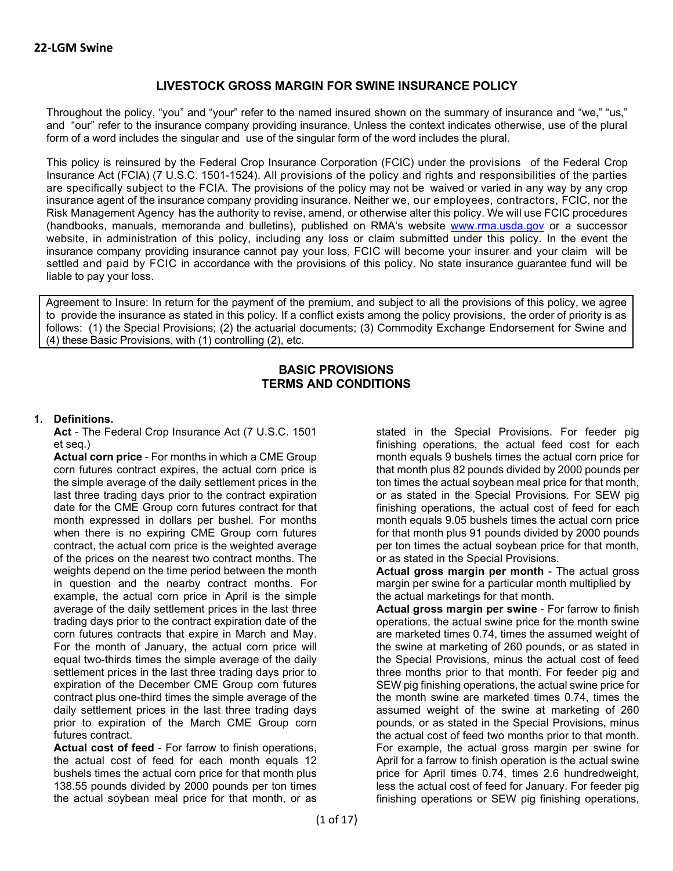# **LIVESTOCK GROSS MARGIN FOR SWINE INSURANCE POLICY**

Throughout the policy, "you" and "your" refer to the named insured shown on the summary of insurance and "we," "us," and "our" refer to the insurance company providing insurance. Unless the context indicates otherwise, use of the plural form of a word includes the singular and use of the singular form of the word includes the plural.

This policy is reinsured by the Federal Crop Insurance Corporation (FCIC) under the provisions of the Federal Crop Insurance Act (FCIA) (7 U.S.C. 1501-1524). All provisions of the policy and rights and responsibilities of the parties are specifically subject to the FCIA. The provisions of the policy may not be waived or varied in any way by any crop insurance agent of the insurance company providing insurance. Neither we, our employees, contractors, FCIC, nor the Risk Management Agency has the authority to revise, amend, or otherwise alter this policy. We will use FCIC procedures (handbooks, manuals, memoranda and bulletins), published on RMA's website [www.rma.usda.gov](https://www.rma.usda.gov/) or a successor website, in administration of this policy, including any loss or claim submitted under this policy. In the event the insurance company providing insurance cannot pay your loss, FCIC will become your insurer and your claim will be settled and paid by FCIC in accordance with the provisions of this policy. No state insurance guarantee fund will be liable to pay your loss.

Agreement to Insure: In return for the payment of the premium, and subject to all the provisions of this policy, we agree to provide the insurance as stated in this policy. If a conflict exists among the policy provisions, the order of priority is as follows: (1) the Special Provisions; (2) the actuarial documents; (3) Commodity Exchange Endorsement for Swine and (4) these Basic Provisions, with (1) controlling (2), etc.

# **BASIC PROVISIONS TERMS AND CONDITIONS**

### **1. Definitions.**

**Act** - The Federal Crop Insurance Act (7 U.S.C. 1501 et seq.)

**Actual corn price** - For months in which a CME Group corn futures contract expires, the actual corn price is the simple average of the daily settlement prices in the last three trading days prior to the contract expiration date for the CME Group corn futures contract for that month expressed in dollars per bushel. For months when there is no expiring CME Group corn futures contract, the actual corn price is the weighted average of the prices on the nearest two contract months. The weights depend on the time period between the month in question and the nearby contract months. For example, the actual corn price in April is the simple average of the daily settlement prices in the last three trading days prior to the contract expiration date of the corn futures contracts that expire in March and May. For the month of January, the actual corn price will equal two-thirds times the simple average of the daily settlement prices in the last three trading days prior to expiration of the December CME Group corn futures contract plus one-third times the simple average of the daily settlement prices in the last three trading days prior to expiration of the March CME Group corn futures contract.

**Actual cost of feed** - For farrow to finish operations, the actual cost of feed for each month equals 12 bushels times the actual corn price for that month plus 138.55 pounds divided by 2000 pounds per ton times the actual soybean meal price for that month, or as

stated in the Special Provisions. For feeder pig finishing operations, the actual feed cost for each month equals 9 bushels times the actual corn price for that month plus 82 pounds divided by 2000 pounds per ton times the actual soybean meal price for that month, or as stated in the Special Provisions. For SEW pig finishing operations, the actual cost of feed for each month equals 9.05 bushels times the actual corn price for that month plus 91 pounds divided by 2000 pounds per ton times the actual soybean price for that month, or as stated in the Special Provisions.

**Actual gross margin per month** - The actual gross margin per swine for a particular month multiplied by the actual marketings for that month.

**Actual gross margin per swine** - For farrow to finish operations, the actual swine price for the month swine are marketed times 0.74, times the assumed weight of the swine at marketing of 260 pounds, or as stated in the Special Provisions, minus the actual cost of feed three months prior to that month. For feeder pig and SEW pig finishing operations, the actual swine price for the month swine are marketed times 0.74, times the assumed weight of the swine at marketing of 260 pounds, or as stated in the Special Provisions, minus the actual cost of feed two months prior to that month. For example, the actual gross margin per swine for April for a farrow to finish operation is the actual swine price for April times 0.74, times 2.6 hundredweight, less the actual cost of feed for January. For feeder pig finishing operations or SEW pig finishing operations,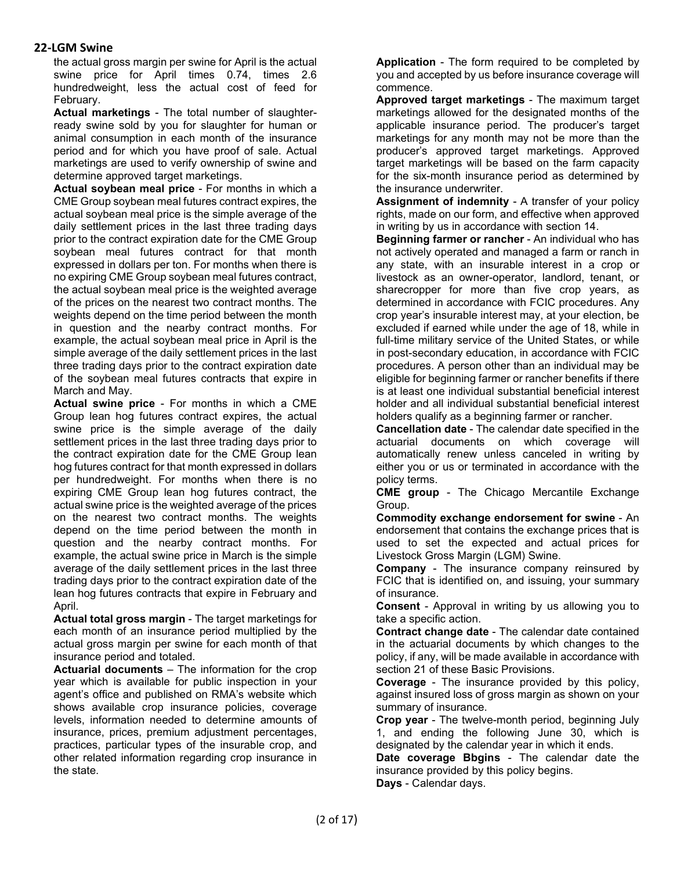the actual gross margin per swine for April is the actual swine price for April times 0.74, times 2.6 hundredweight, less the actual cost of feed for February.

**Actual marketings** - The total number of slaughterready swine sold by you for slaughter for human or animal consumption in each month of the insurance period and for which you have proof of sale. Actual marketings are used to verify ownership of swine and determine approved target marketings.

**Actual soybean meal price** - For months in which a CME Group soybean meal futures contract expires, the actual soybean meal price is the simple average of the daily settlement prices in the last three trading days prior to the contract expiration date for the CME Group soybean meal futures contract for that month expressed in dollars per ton. For months when there is no expiring CME Group soybean meal futures contract, the actual soybean meal price is the weighted average of the prices on the nearest two contract months. The weights depend on the time period between the month in question and the nearby contract months. For example, the actual soybean meal price in April is the simple average of the daily settlement prices in the last three trading days prior to the contract expiration date of the soybean meal futures contracts that expire in March and May.

**Actual swine price** - For months in which a CME Group lean hog futures contract expires, the actual swine price is the simple average of the daily settlement prices in the last three trading days prior to the contract expiration date for the CME Group lean hog futures contract for that month expressed in dollars per hundredweight. For months when there is no expiring CME Group lean hog futures contract, the actual swine price is the weighted average of the prices on the nearest two contract months. The weights depend on the time period between the month in question and the nearby contract months. For example, the actual swine price in March is the simple average of the daily settlement prices in the last three trading days prior to the contract expiration date of the lean hog futures contracts that expire in February and April.

**Actual total gross margin** - The target marketings for each month of an insurance period multiplied by the actual gross margin per swine for each month of that insurance period and totaled.

**Actuarial documents** – The information for the crop year which is available for public inspection in your agent's office and published on RMA's website which shows available crop insurance policies, coverage levels, information needed to determine amounts of insurance, prices, premium adjustment percentages, practices, particular types of the insurable crop, and other related information regarding crop insurance in the state.

**Application** - The form required to be completed by you and accepted by us before insurance coverage will commence.

**Approved target marketings** - The maximum target marketings allowed for the designated months of the applicable insurance period. The producer's target marketings for any month may not be more than the producer's approved target marketings. Approved target marketings will be based on the farm capacity for the six-month insurance period as determined by the insurance underwriter.

**Assignment of indemnity** - A transfer of your policy rights, made on our form, and effective when approved in writing by us in accordance with section 14.

**Beginning farmer or rancher** - An individual who has not actively operated and managed a farm or ranch in any state, with an insurable interest in a crop or livestock as an owner-operator, landlord, tenant, or sharecropper for more than five crop years, as determined in accordance with FCIC procedures. Any crop year's insurable interest may, at your election, be excluded if earned while under the age of 18, while in full-time military service of the United States, or while in post-secondary education, in accordance with FCIC procedures. A person other than an individual may be eligible for beginning farmer or rancher benefits if there is at least one individual substantial beneficial interest holder and all individual substantial beneficial interest holders qualify as a beginning farmer or rancher.

**Cancellation date** - The calendar date specified in the actuarial documents on which coverage will automatically renew unless canceled in writing by either you or us or terminated in accordance with the policy terms.

**CME group** - The Chicago Mercantile Exchange Group.

**Commodity exchange endorsement for swine** - An endorsement that contains the exchange prices that is used to set the expected and actual prices for Livestock Gross Margin (LGM) Swine.

**Company** - The insurance company reinsured by FCIC that is identified on, and issuing, your summary of insurance.

**Consent** - Approval in writing by us allowing you to take a specific action.

**Contract change date** - The calendar date contained in the actuarial documents by which changes to the policy, if any, will be made available in accordance with section 21 of these Basic Provisions.

**Coverage** - The insurance provided by this policy, against insured loss of gross margin as shown on your summary of insurance.

**Crop year** - The twelve-month period, beginning July 1, and ending the following June 30, which is designated by the calendar year in which it ends.

**Date coverage Bbgins** - The calendar date the insurance provided by this policy begins. **Days** - Calendar days.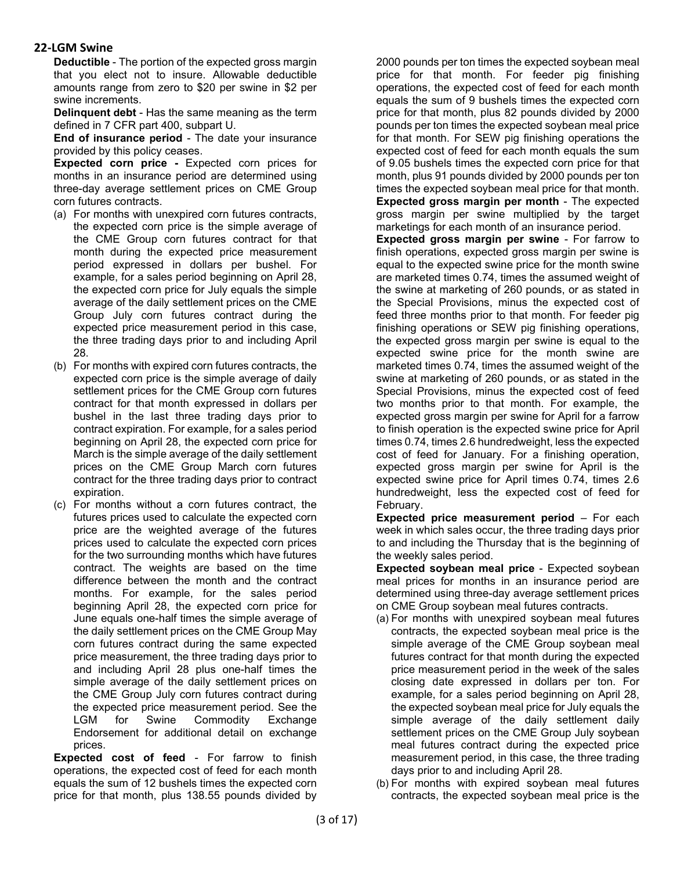**Deductible** - The portion of the expected gross margin that you elect not to insure. Allowable deductible amounts range from zero to \$20 per swine in \$2 per swine increments.

**Delinquent debt** - Has the same meaning as the term defined in 7 CFR part 400, subpart U.

**End of insurance period** - The date your insurance provided by this policy ceases.

**Expected corn price -** Expected corn prices for months in an insurance period are determined using three-day average settlement prices on CME Group corn futures contracts.

- (a) For months with unexpired corn futures contracts, the expected corn price is the simple average of the CME Group corn futures contract for that month during the expected price measurement period expressed in dollars per bushel. For example, for a sales period beginning on April 28, the expected corn price for July equals the simple average of the daily settlement prices on the CME Group July corn futures contract during the expected price measurement period in this case, the three trading days prior to and including April 28.
- (b) For months with expired corn futures contracts, the expected corn price is the simple average of daily settlement prices for the CME Group corn futures contract for that month expressed in dollars per bushel in the last three trading days prior to contract expiration. For example, for a sales period beginning on April 28, the expected corn price for March is the simple average of the daily settlement prices on the CME Group March corn futures contract for the three trading days prior to contract expiration.
- (c) For months without a corn futures contract, the futures prices used to calculate the expected corn price are the weighted average of the futures prices used to calculate the expected corn prices for the two surrounding months which have futures contract. The weights are based on the time difference between the month and the contract months. For example, for the sales period beginning April 28, the expected corn price for June equals one-half times the simple average of the daily settlement prices on the CME Group May corn futures contract during the same expected price measurement, the three trading days prior to and including April 28 plus one-half times the simple average of the daily settlement prices on the CME Group July corn futures contract during the expected price measurement period. See the LGM for Swine Commodity Exchange Endorsement for additional detail on exchange prices.

**Expected cost of feed** - For farrow to finish operations, the expected cost of feed for each month equals the sum of 12 bushels times the expected corn price for that month, plus 138.55 pounds divided by

2000 pounds per ton times the expected soybean meal price for that month. For feeder pig finishing operations, the expected cost of feed for each month equals the sum of 9 bushels times the expected corn price for that month, plus 82 pounds divided by 2000 pounds per ton times the expected soybean meal price for that month. For SEW pig finishing operations the expected cost of feed for each month equals the sum of 9.05 bushels times the expected corn price for that month, plus 91 pounds divided by 2000 pounds per ton times the expected soybean meal price for that month. **Expected gross margin per month** - The expected gross margin per swine multiplied by the target marketings for each month of an insurance period.

**Expected gross margin per swine** - For farrow to finish operations, expected gross margin per swine is equal to the expected swine price for the month swine are marketed times 0.74, times the assumed weight of the swine at marketing of 260 pounds, or as stated in the Special Provisions, minus the expected cost of feed three months prior to that month. For feeder pig finishing operations or SEW pig finishing operations, the expected gross margin per swine is equal to the expected swine price for the month swine are marketed times 0.74, times the assumed weight of the swine at marketing of 260 pounds, or as stated in the Special Provisions, minus the expected cost of feed two months prior to that month. For example, the expected gross margin per swine for April for a farrow to finish operation is the expected swine price for April times 0.74, times 2.6 hundredweight, less the expected cost of feed for January. For a finishing operation, expected gross margin per swine for April is the expected swine price for April times 0.74, times 2.6 hundredweight, less the expected cost of feed for February.

**Expected price measurement period** – For each week in which sales occur, the three trading days prior to and including the Thursday that is the beginning of the weekly sales period.

**Expected soybean meal price** - Expected soybean meal prices for months in an insurance period are determined using three-day average settlement prices on CME Group soybean meal futures contracts.

- (a) For months with unexpired soybean meal futures contracts, the expected soybean meal price is the simple average of the CME Group soybean meal futures contract for that month during the expected price measurement period in the week of the sales closing date expressed in dollars per ton. For example, for a sales period beginning on April 28, the expected soybean meal price for July equals the simple average of the daily settlement daily settlement prices on the CME Group July soybean meal futures contract during the expected price measurement period, in this case, the three trading days prior to and including April 28.
- (b) For months with expired soybean meal futures contracts, the expected soybean meal price is the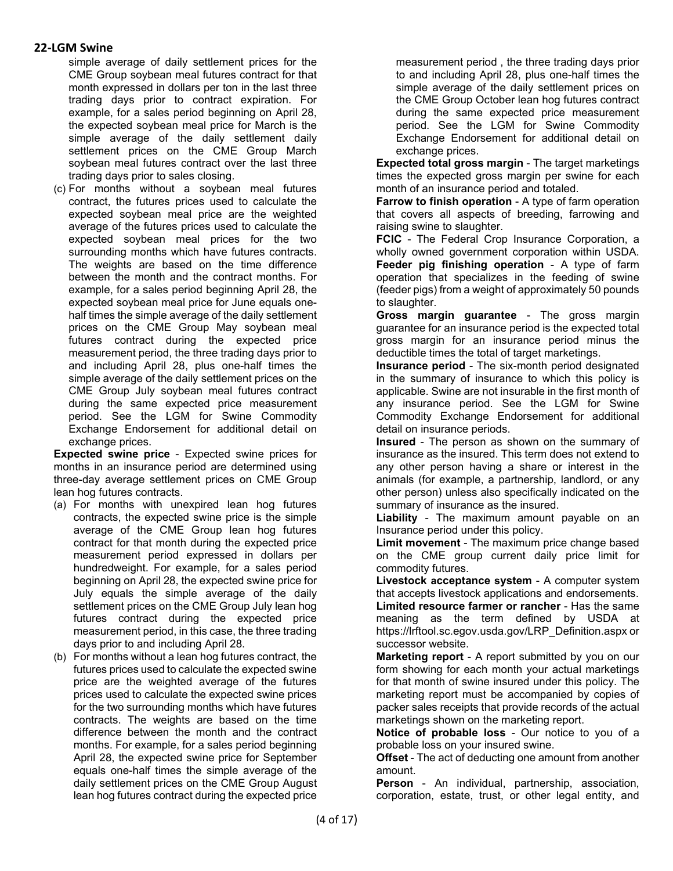simple average of daily settlement prices for the CME Group soybean meal futures contract for that month expressed in dollars per ton in the last three trading days prior to contract expiration. For example, for a sales period beginning on April 28, the expected soybean meal price for March is the simple average of the daily settlement daily settlement prices on the CME Group March soybean meal futures contract over the last three trading days prior to sales closing.

(c) For months without a soybean meal futures contract, the futures prices used to calculate the expected soybean meal price are the weighted average of the futures prices used to calculate the expected soybean meal prices for the two surrounding months which have futures contracts. The weights are based on the time difference between the month and the contract months. For example, for a sales period beginning April 28, the expected soybean meal price for June equals onehalf times the simple average of the daily settlement prices on the CME Group May soybean meal futures contract during the expected price measurement period, the three trading days prior to and including April 28, plus one-half times the simple average of the daily settlement prices on the CME Group July soybean meal futures contract during the same expected price measurement period. See the LGM for Swine Commodity Exchange Endorsement for additional detail on exchange prices.

**Expected swine price** - Expected swine prices for months in an insurance period are determined using three-day average settlement prices on CME Group lean hog futures contracts.

- (a) For months with unexpired lean hog futures contracts, the expected swine price is the simple average of the CME Group lean hog futures contract for that month during the expected price measurement period expressed in dollars per hundredweight. For example, for a sales period beginning on April 28, the expected swine price for July equals the simple average of the daily settlement prices on the CME Group July lean hog futures contract during the expected price measurement period, in this case, the three trading days prior to and including April 28.
- (b) For months without a lean hog futures contract, the futures prices used to calculate the expected swine price are the weighted average of the futures prices used to calculate the expected swine prices for the two surrounding months which have futures contracts. The weights are based on the time difference between the month and the contract months. For example, for a sales period beginning April 28, the expected swine price for September equals one-half times the simple average of the daily settlement prices on the CME Group August lean hog futures contract during the expected price

measurement period , the three trading days prior to and including April 28, plus one-half times the simple average of the daily settlement prices on the CME Group October lean hog futures contract during the same expected price measurement period. See the LGM for Swine Commodity Exchange Endorsement for additional detail on exchange prices.

**Expected total gross margin** - The target marketings times the expected gross margin per swine for each month of an insurance period and totaled.

**Farrow to finish operation** - A type of farm operation that covers all aspects of breeding, farrowing and raising swine to slaughter.

**FCIC** - The Federal Crop Insurance Corporation, a wholly owned government corporation within USDA. **Feeder pig finishing operation** - A type of farm operation that specializes in the feeding of swine (feeder pigs) from a weight of approximately 50 pounds to slaughter.

**Gross margin guarantee** - The gross margin guarantee for an insurance period is the expected total gross margin for an insurance period minus the deductible times the total of target marketings.

**Insurance period** - The six-month period designated in the summary of insurance to which this policy is applicable. Swine are not insurable in the first month of any insurance period. See the LGM for Swine Commodity Exchange Endorsement for additional detail on insurance periods.

**Insured** - The person as shown on the summary of insurance as the insured. This term does not extend to any other person having a share or interest in the animals (for example, a partnership, landlord, or any other person) unless also specifically indicated on the summary of insurance as the insured.

**Liability** - The maximum amount payable on an Insurance period under this policy.

**Limit movement** - The maximum price change based on the CME group current daily price limit for commodity futures.

**Livestock acceptance system** - A computer system that accepts livestock applications and endorsements. **Limited resource farmer or rancher** - Has the same meaning as the term defined by USDA at https://lrftool.sc.egov.usda.gov/LRP\_Definition.aspx or successor website.

**Marketing report** - A report submitted by you on our form showing for each month your actual marketings for that month of swine insured under this policy. The marketing report must be accompanied by copies of packer sales receipts that provide records of the actual marketings shown on the marketing report.

**Notice of probable loss** - Our notice to you of a probable loss on your insured swine.

**Offset** - The act of deducting one amount from another amount.

**Person** - An individual, partnership, association, corporation, estate, trust, or other legal entity, and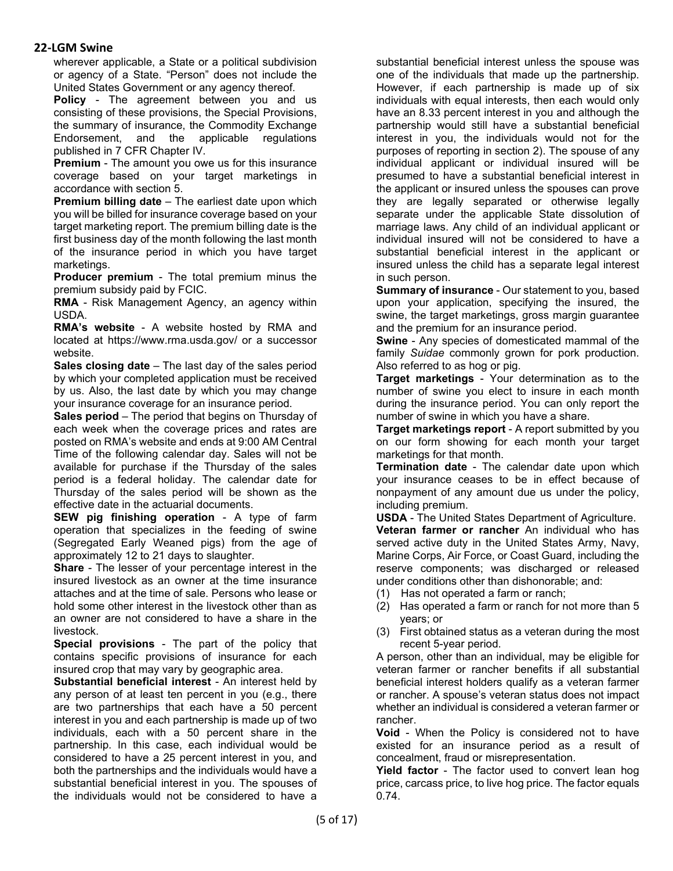wherever applicable, a State or a political subdivision or agency of a State. "Person" does not include the United States Government or any agency thereof.

**Policy** - The agreement between you and us consisting of these provisions, the Special Provisions, the summary of insurance, the Commodity Exchange Endorsement, and the applicable regulations published in 7 CFR Chapter IV.

**Premium** - The amount you owe us for this insurance coverage based on your target marketings in accordance with section 5.

**Premium billing date** – The earliest date upon which you will be billed for insurance coverage based on your target marketing report. The premium billing date is the first business day of the month following the last month of the insurance period in which you have target marketings.

**Producer premium** - The total premium minus the premium subsidy paid by FCIC.

**RMA** - Risk Management Agency, an agency within USDA.

**RMA's website** - A website hosted by RMA and located at https://www.rma.usda.gov/ or a successor website.

**Sales closing date** – The last day of the sales period by which your completed application must be received by us. Also, the last date by which you may change your insurance coverage for an insurance period.

**Sales period** – The period that begins on Thursday of each week when the coverage prices and rates are posted on RMA's website and ends at 9:00 AM Central Time of the following calendar day. Sales will not be available for purchase if the Thursday of the sales period is a federal holiday. The calendar date for Thursday of the sales period will be shown as the effective date in the actuarial documents.

**SEW pig finishing operation** - A type of farm operation that specializes in the feeding of swine (Segregated Early Weaned pigs) from the age of approximately 12 to 21 days to slaughter.

**Share** - The lesser of your percentage interest in the insured livestock as an owner at the time insurance attaches and at the time of sale. Persons who lease or hold some other interest in the livestock other than as an owner are not considered to have a share in the livestock.

**Special provisions** - The part of the policy that contains specific provisions of insurance for each insured crop that may vary by geographic area.

**Substantial beneficial interest** - An interest held by any person of at least ten percent in you (e.g., there are two partnerships that each have a 50 percent interest in you and each partnership is made up of two individuals, each with a 50 percent share in the partnership. In this case, each individual would be considered to have a 25 percent interest in you, and both the partnerships and the individuals would have a substantial beneficial interest in you. The spouses of the individuals would not be considered to have a

substantial beneficial interest unless the spouse was one of the individuals that made up the partnership. However, if each partnership is made up of six individuals with equal interests, then each would only have an 8.33 percent interest in you and although the partnership would still have a substantial beneficial interest in you, the individuals would not for the purposes of reporting in section 2). The spouse of any individual applicant or individual insured will be presumed to have a substantial beneficial interest in the applicant or insured unless the spouses can prove they are legally separated or otherwise legally separate under the applicable State dissolution of marriage laws. Any child of an individual applicant or individual insured will not be considered to have a substantial beneficial interest in the applicant or insured unless the child has a separate legal interest in such person.

**Summary of insurance - Our statement to you, based** upon your application, specifying the insured, the swine, the target marketings, gross margin guarantee and the premium for an insurance period.

**Swine** - Any species of domesticated mammal of the family *Suidae* commonly grown for pork production. Also referred to as hog or pig.

**Target marketings** - Your determination as to the number of swine you elect to insure in each month during the insurance period. You can only report the number of swine in which you have a share.

**Target marketings report** - A report submitted by you on our form showing for each month your target marketings for that month.

**Termination date** - The calendar date upon which your insurance ceases to be in effect because of nonpayment of any amount due us under the policy, including premium.

**USDA** - The United States Department of Agriculture.

**Veteran farmer or rancher** An individual who has served active duty in the United States Army, Navy, Marine Corps, Air Force, or Coast Guard, including the reserve components; was discharged or released under conditions other than dishonorable; and:

- (1) Has not operated a farm or ranch;
- (2) Has operated a farm or ranch for not more than 5 years; or
- (3) First obtained status as a veteran during the most recent 5-year period.

A person, other than an individual, may be eligible for veteran farmer or rancher benefits if all substantial beneficial interest holders qualify as a veteran farmer or rancher. A spouse's veteran status does not impact whether an individual is considered a veteran farmer or rancher.

**Void** - When the Policy is considered not to have existed for an insurance period as a result of concealment, fraud or misrepresentation.

**Yield factor** - The factor used to convert lean hog price, carcass price, to live hog price. The factor equals 0.74.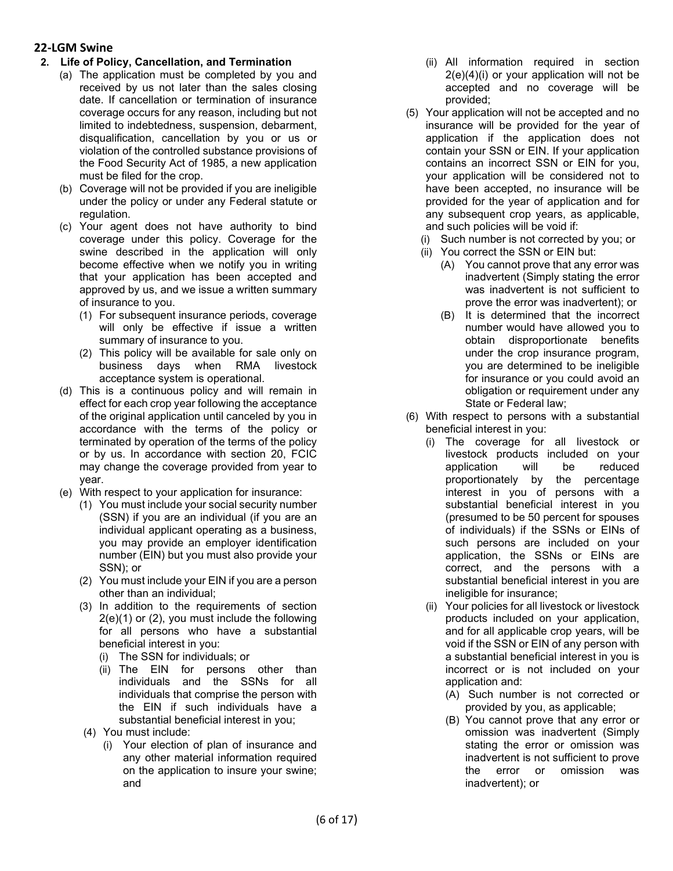- **2. Life of Policy, Cancellation, and Termination**
	- (a) The application must be completed by you and received by us not later than the sales closing date. If cancellation or termination of insurance coverage occurs for any reason, including but not limited to indebtedness, suspension, debarment, disqualification, cancellation by you or us or violation of the controlled substance provisions of the Food Security Act of 1985, a new application must be filed for the crop.
	- (b) Coverage will not be provided if you are ineligible under the policy or under any Federal statute or regulation.
	- (c) Your agent does not have authority to bind coverage under this policy. Coverage for the swine described in the application will only become effective when we notify you in writing that your application has been accepted and approved by us, and we issue a written summary of insurance to you.
		- (1) For subsequent insurance periods, coverage will only be effective if issue a written summary of insurance to you.
		- (2) This policy will be available for sale only on business days when RMA livestock acceptance system is operational.
	- (d) This is a continuous policy and will remain in effect for each crop year following the acceptance of the original application until canceled by you in accordance with the terms of the policy or terminated by operation of the terms of the policy or by us. In accordance with section 20, FCIC may change the coverage provided from year to year.
	- (e) With respect to your application for insurance:
		- (1) You must include your social security number (SSN) if you are an individual (if you are an individual applicant operating as a business, you may provide an employer identification number (EIN) but you must also provide your SSN); or
		- (2) You must include your EIN if you are a person other than an individual;
		- (3) In addition to the requirements of section 2(e)(1) or (2), you must include the following for all persons who have a substantial beneficial interest in you:
			- (i) The SSN for individuals; or
			- (ii) The EIN for persons other than individuals and the SSNs for all individuals that comprise the person with the EIN if such individuals have a substantial beneficial interest in you;
		- (4) You must include:
			- (i) Your election of plan of insurance and any other material information required on the application to insure your swine; and
- (ii) All information required in section 2(e)(4)(i) or your application will not be accepted and no coverage will be provided;
- (5) Your application will not be accepted and no insurance will be provided for the year of application if the application does not contain your SSN or EIN. If your application contains an incorrect SSN or EIN for you, your application will be considered not to have been accepted, no insurance will be provided for the year of application and for any subsequent crop years, as applicable, and such policies will be void if:
	- (i) Such number is not corrected by you; or
	- (ii) You correct the SSN or EIN but:
		- (A) You cannot prove that any error was inadvertent (Simply stating the error was inadvertent is not sufficient to prove the error was inadvertent); or
		- (B) It is determined that the incorrect number would have allowed you to obtain disproportionate benefits under the crop insurance program, you are determined to be ineligible for insurance or you could avoid an obligation or requirement under any State or Federal law;
- (6) With respect to persons with a substantial beneficial interest in you:
	- (i) The coverage for all livestock or livestock products included on your application will be reduced proportionately by the percentage interest in you of persons with a substantial beneficial interest in you (presumed to be 50 percent for spouses of individuals) if the SSNs or EINs of such persons are included on your application, the SSNs or EINs are correct, and the persons with a substantial beneficial interest in you are ineligible for insurance;
	- (ii) Your policies for all livestock or livestock products included on your application, and for all applicable crop years, will be void if the SSN or EIN of any person with a substantial beneficial interest in you is incorrect or is not included on your application and:
		- (A) Such number is not corrected or provided by you, as applicable;
		- (B) You cannot prove that any error or omission was inadvertent (Simply stating the error or omission was inadvertent is not sufficient to prove the error or omission was inadvertent); or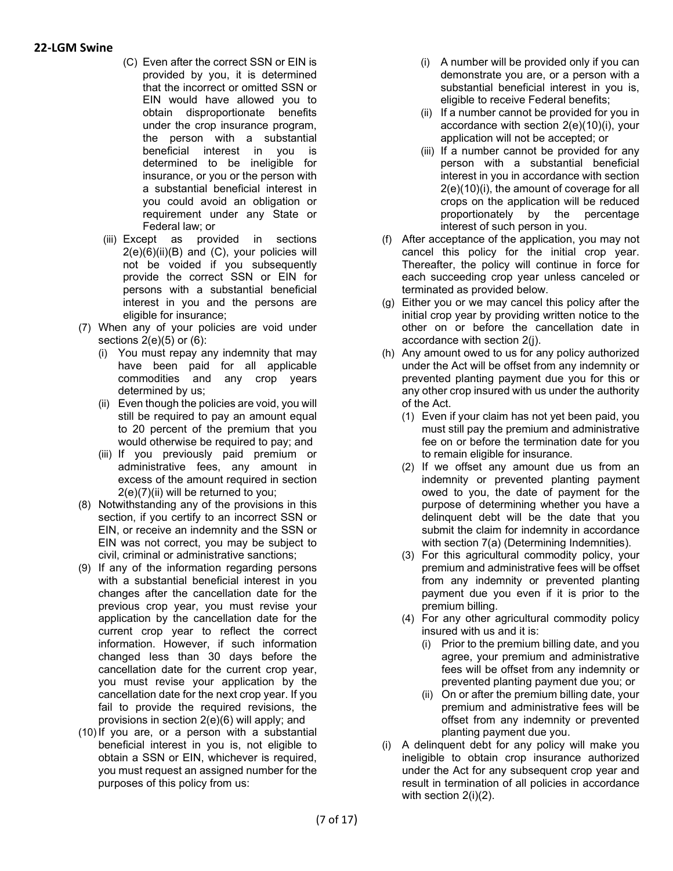- (C) Even after the correct SSN or EIN is provided by you, it is determined that the incorrect or omitted SSN or EIN would have allowed you to obtain disproportionate benefits under the crop insurance program, the person with a substantial beneficial interest in you is determined to be ineligible for insurance, or you or the person with a substantial beneficial interest in you could avoid an obligation or requirement under any State or Federal law; or
- (iii) Except as provided in sections  $2(e)(6)(ii)(B)$  and  $(C)$ , your policies will not be voided if you subsequently provide the correct SSN or EIN for persons with a substantial beneficial interest in you and the persons are eligible for insurance;
- (7) When any of your policies are void under sections 2(e)(5) or (6):
	- (i) You must repay any indemnity that may have been paid for all applicable commodities and any crop years determined by us;
	- (ii) Even though the policies are void, you will still be required to pay an amount equal to 20 percent of the premium that you would otherwise be required to pay; and
	- (iii) If you previously paid premium or administrative fees, any amount in excess of the amount required in section 2(e)(7)(ii) will be returned to you;
- (8) Notwithstanding any of the provisions in this section, if you certify to an incorrect SSN or EIN, or receive an indemnity and the SSN or EIN was not correct, you may be subject to civil, criminal or administrative sanctions;
- (9) If any of the information regarding persons with a substantial beneficial interest in you changes after the cancellation date for the previous crop year, you must revise your application by the cancellation date for the current crop year to reflect the correct information. However, if such information changed less than 30 days before the cancellation date for the current crop year, you must revise your application by the cancellation date for the next crop year. If you fail to provide the required revisions, the provisions in section 2(e)(6) will apply; and
- (10) If you are, or a person with a substantial beneficial interest in you is, not eligible to obtain a SSN or EIN, whichever is required, you must request an assigned number for the purposes of this policy from us:
- (i) A number will be provided only if you can demonstrate you are, or a person with a substantial beneficial interest in you is, eligible to receive Federal benefits;
- (ii) If a number cannot be provided for you in accordance with section 2(e)(10)(i), your application will not be accepted; or
- (iii) If a number cannot be provided for any person with a substantial beneficial interest in you in accordance with section 2(e)(10)(i), the amount of coverage for all crops on the application will be reduced proportionately by the percentage interest of such person in you.
- (f) After acceptance of the application, you may not cancel this policy for the initial crop year. Thereafter, the policy will continue in force for each succeeding crop year unless canceled or terminated as provided below.
- (g) Either you or we may cancel this policy after the initial crop year by providing written notice to the other on or before the cancellation date in accordance with section 2(j).
- (h) Any amount owed to us for any policy authorized under the Act will be offset from any indemnity or prevented planting payment due you for this or any other crop insured with us under the authority of the Act.
	- (1) Even if your claim has not yet been paid, you must still pay the premium and administrative fee on or before the termination date for you to remain eligible for insurance.
	- (2) If we offset any amount due us from an indemnity or prevented planting payment owed to you, the date of payment for the purpose of determining whether you have a delinquent debt will be the date that you submit the claim for indemnity in accordance with section 7(a) (Determining Indemnities).
	- (3) For this agricultural commodity policy, your premium and administrative fees will be offset from any indemnity or prevented planting payment due you even if it is prior to the premium billing.
	- (4) For any other agricultural commodity policy insured with us and it is:
		- (i) Prior to the premium billing date, and you agree, your premium and administrative fees will be offset from any indemnity or prevented planting payment due you; or
		- (ii) On or after the premium billing date, your premium and administrative fees will be offset from any indemnity or prevented planting payment due you.
- (i) A delinquent debt for any policy will make you ineligible to obtain crop insurance authorized under the Act for any subsequent crop year and result in termination of all policies in accordance with section 2(i)(2).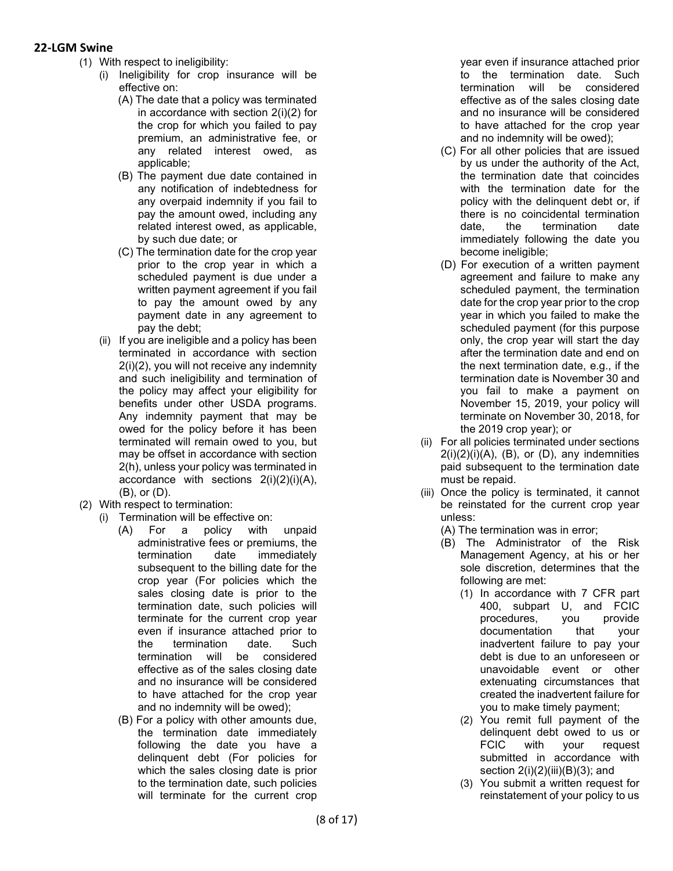- (1) With respect to ineligibility:
	- (i) Ineligibility for crop insurance will be effective on:
		- (A) The date that a policy was terminated in accordance with section 2(i)(2) for the crop for which you failed to pay premium, an administrative fee, or any related interest owed, as applicable;
		- (B) The payment due date contained in any notification of indebtedness for any overpaid indemnity if you fail to pay the amount owed, including any related interest owed, as applicable, by such due date; or
		- (C) The termination date for the crop year prior to the crop year in which a scheduled payment is due under a written payment agreement if you fail to pay the amount owed by any payment date in any agreement to pay the debt;
	- (ii) If you are ineligible and a policy has been terminated in accordance with section 2(i)(2), you will not receive any indemnity and such ineligibility and termination of the policy may affect your eligibility for benefits under other USDA programs. Any indemnity payment that may be owed for the policy before it has been terminated will remain owed to you, but may be offset in accordance with section 2(h), unless your policy was terminated in accordance with sections 2(i)(2)(i)(A), (B), or (D).
- (2) With respect to termination:
	- (i) Termination will be effective on:
		- (A) For a policy with unpaid administrative fees or premiums, the termination date immediately subsequent to the billing date for the crop year (For policies which the sales closing date is prior to the termination date, such policies will terminate for the current crop year even if insurance attached prior to the termination date. Such termination will be considered effective as of the sales closing date and no insurance will be considered to have attached for the crop year and no indemnity will be owed);
		- (B) For a policy with other amounts due, the termination date immediately following the date you have a delinquent debt (For policies for which the sales closing date is prior to the termination date, such policies will terminate for the current crop

year even if insurance attached prior to the termination date. Such termination will be considered effective as of the sales closing date and no insurance will be considered to have attached for the crop year and no indemnity will be owed);

- (C) For all other policies that are issued by us under the authority of the Act, the termination date that coincides with the termination date for the policy with the delinquent debt or, if there is no coincidental termination date, the termination date immediately following the date you become ineligible;
- (D) For execution of a written payment agreement and failure to make any scheduled payment, the termination date for the crop year prior to the crop year in which you failed to make the scheduled payment (for this purpose only, the crop year will start the day after the termination date and end on the next termination date, e.g., if the termination date is November 30 and you fail to make a payment on November 15, 2019, your policy will terminate on November 30, 2018, for the 2019 crop year); or
- (ii) For all policies terminated under sections  $2(i)(2)(i)(A)$ ,  $(B)$ , or  $(D)$ , any indemnities paid subsequent to the termination date must be repaid.
- (iii) Once the policy is terminated, it cannot be reinstated for the current crop year unless:
	- (A) The termination was in error;
	- (B) The Administrator of the Risk Management Agency, at his or her sole discretion, determines that the following are met:
		- (1) In accordance with 7 CFR part 400, subpart U, and FCIC procedures, you provide documentation that your inadvertent failure to pay your debt is due to an unforeseen or unavoidable event or other extenuating circumstances that created the inadvertent failure for you to make timely payment;
		- (2) You remit full payment of the delinquent debt owed to us or FCIC with your request submitted in accordance with section  $2(i)(2)(iii)(B)(3)$ ; and
		- (3) You submit a written request for reinstatement of your policy to us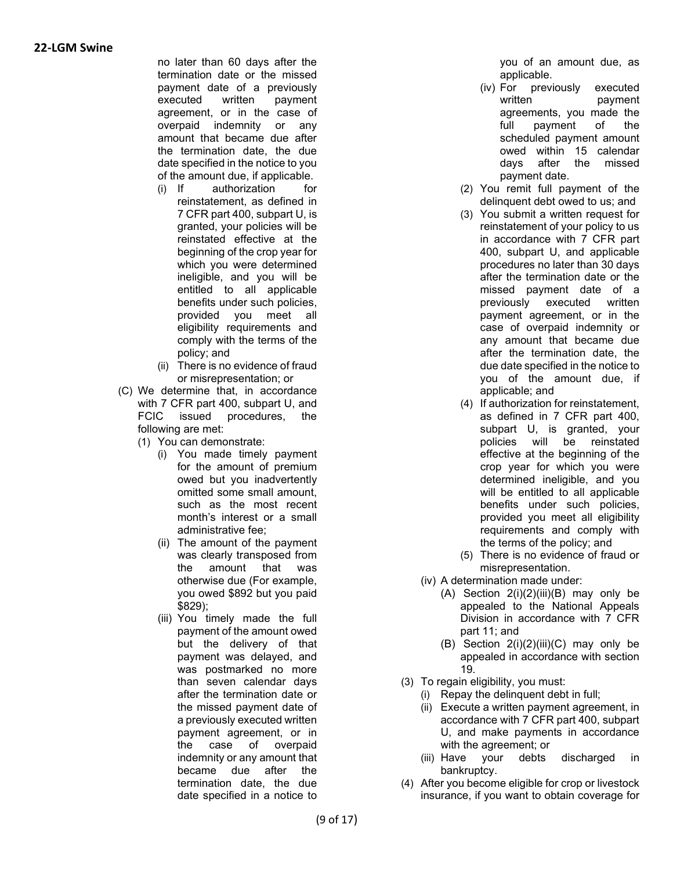no later than 60 days after the termination date or the missed payment date of a previously executed written payment agreement, or in the case of overpaid indemnity or any amount that became due after the termination date, the due date specified in the notice to you of the amount due, if applicable.

- (i) If authorization for reinstatement, as defined in 7 CFR part 400, subpart U, is granted, your policies will be reinstated effective at the beginning of the crop year for which you were determined ineligible, and you will be entitled to all applicable benefits under such policies, provided you meet all eligibility requirements and comply with the terms of the policy; and
- (ii) There is no evidence of fraud or misrepresentation; or
- (C) We determine that, in accordance with 7 CFR part 400, subpart U, and<br>FCIC issued procedures, the FCIC issued procedures, following are met:
	- (1) You can demonstrate:
		- (i) You made timely payment for the amount of premium owed but you inadvertently omitted some small amount, such as the most recent month's interest or a small administrative fee;
		- (ii) The amount of the payment was clearly transposed from the amount that was otherwise due (For example, you owed \$892 but you paid \$829);
		- (iii) You timely made the full payment of the amount owed but the delivery of that payment was delayed, and was postmarked no more than seven calendar days after the termination date or the missed payment date of a previously executed written payment agreement, or in the case of overpaid indemnity or any amount that became due after the termination date, the due date specified in a notice to

you of an amount due, as applicable.

- (iv) For previously executed written payment agreements, you made the full payment of the scheduled payment amount owed within 15 calendar days after the missed payment date.
- (2) You remit full payment of the delinquent debt owed to us; and
- (3) You submit a written request for reinstatement of your policy to us in accordance with 7 CFR part 400, subpart U, and applicable procedures no later than 30 days after the termination date or the missed payment date of a previously executed written payment agreement, or in the case of overpaid indemnity or any amount that became due after the termination date, the due date specified in the notice to you of the amount due, if applicable; and
- (4) If authorization for reinstatement, as defined in 7 CFR part 400, subpart U, is granted, your policies will be reinstated effective at the beginning of the crop year for which you were determined ineligible, and you will be entitled to all applicable benefits under such policies, provided you meet all eligibility requirements and comply with the terms of the policy; and
- (5) There is no evidence of fraud or misrepresentation.
- (iv) A determination made under:
	- (A) Section  $2(i)(2)(iii)(B)$  may only be appealed to the National Appeals Division in accordance with 7 CFR part 11; and
	- (B) Section  $2(i)(2)(iii)(C)$  may only be appealed in accordance with section 19.
- (3) To regain eligibility, you must:
	- (i) Repay the delinquent debt in full;
	- (ii) Execute a written payment agreement, in accordance with 7 CFR part 400, subpart U, and make payments in accordance with the agreement; or
	- (iii) Have your debts discharged in bankruptcy.
- (4) After you become eligible for crop or livestock insurance, if you want to obtain coverage for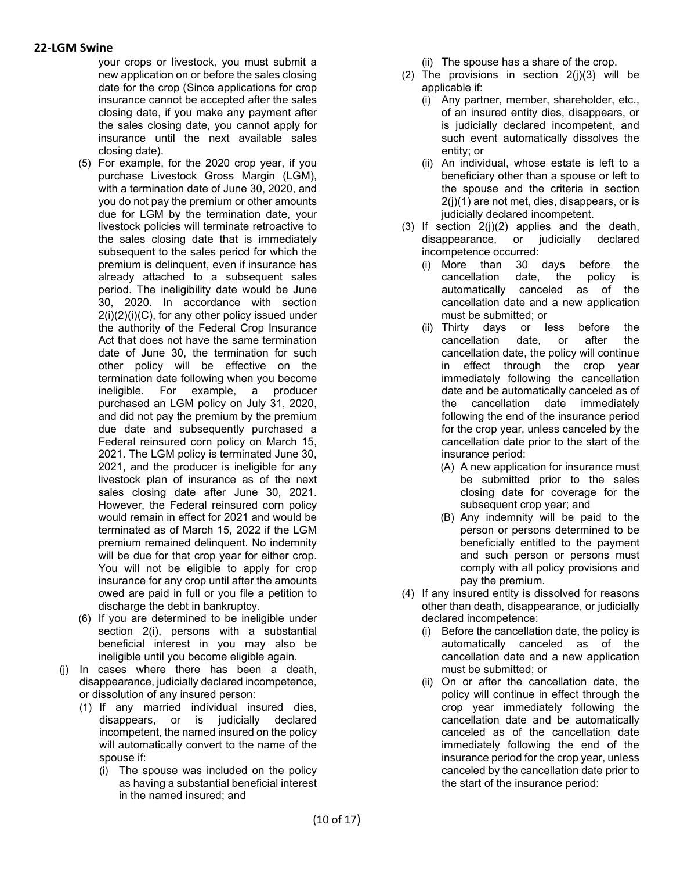your crops or livestock, you must submit a new application on or before the sales closing date for the crop (Since applications for crop insurance cannot be accepted after the sales closing date, if you make any payment after the sales closing date, you cannot apply for insurance until the next available sales closing date).

- (5) For example, for the 2020 crop year, if you purchase Livestock Gross Margin (LGM), with a termination date of June 30, 2020, and you do not pay the premium or other amounts due for LGM by the termination date, your livestock policies will terminate retroactive to the sales closing date that is immediately subsequent to the sales period for which the premium is delinquent, even if insurance has already attached to a subsequent sales period. The ineligibility date would be June 30, 2020. In accordance with section 2(i)(2)(i)(C), for any other policy issued under the authority of the Federal Crop Insurance Act that does not have the same termination date of June 30, the termination for such other policy will be effective on the termination date following when you become ineligible. For example, a producer purchased an LGM policy on July 31, 2020, and did not pay the premium by the premium due date and subsequently purchased a Federal reinsured corn policy on March 15, 2021. The LGM policy is terminated June 30, 2021, and the producer is ineligible for any livestock plan of insurance as of the next sales closing date after June 30, 2021. However, the Federal reinsured corn policy would remain in effect for 2021 and would be terminated as of March 15, 2022 if the LGM premium remained delinquent. No indemnity will be due for that crop year for either crop. You will not be eligible to apply for crop insurance for any crop until after the amounts owed are paid in full or you file a petition to discharge the debt in bankruptcy.
- (6) If you are determined to be ineligible under section 2(i), persons with a substantial beneficial interest in you may also be ineligible until you become eligible again.
- (j) In cases where there has been a death, disappearance, judicially declared incompetence, or dissolution of any insured person:
	- (1) If any married individual insured dies, disappears, or is judicially declared incompetent, the named insured on the policy will automatically convert to the name of the spouse if:
		- (i) The spouse was included on the policy as having a substantial beneficial interest in the named insured; and
- (ii) The spouse has a share of the crop.
- (2) The provisions in section  $2(i)(3)$  will be applicable if:
	- (i) Any partner, member, shareholder, etc., of an insured entity dies, disappears, or is judicially declared incompetent, and such event automatically dissolves the entity; or
	- (ii) An individual, whose estate is left to a beneficiary other than a spouse or left to the spouse and the criteria in section 2(j)(1) are not met, dies, disappears, or is judicially declared incompetent.
- (3) If section  $2(i)(2)$  applies and the death, disappearance, or judicially declared incompetence occurred:
	- (i) More than 30 days before the cancellation date, the policy is automatically canceled as of the cancellation date and a new application must be submitted; or
	- (ii) Thirty days or less before the cancellation date, or after the cancellation date, the policy will continue in effect through the crop year immediately following the cancellation date and be automatically canceled as of the cancellation date immediately following the end of the insurance period for the crop year, unless canceled by the cancellation date prior to the start of the insurance period:
		- (A) A new application for insurance must be submitted prior to the sales closing date for coverage for the subsequent crop year; and
		- (B) Any indemnity will be paid to the person or persons determined to be beneficially entitled to the payment and such person or persons must comply with all policy provisions and pay the premium.
- (4) If any insured entity is dissolved for reasons other than death, disappearance, or judicially declared incompetence:
	- (i) Before the cancellation date, the policy is automatically canceled as of the cancellation date and a new application must be submitted; or
	- (ii) On or after the cancellation date, the policy will continue in effect through the crop year immediately following the cancellation date and be automatically canceled as of the cancellation date immediately following the end of the insurance period for the crop year, unless canceled by the cancellation date prior to the start of the insurance period: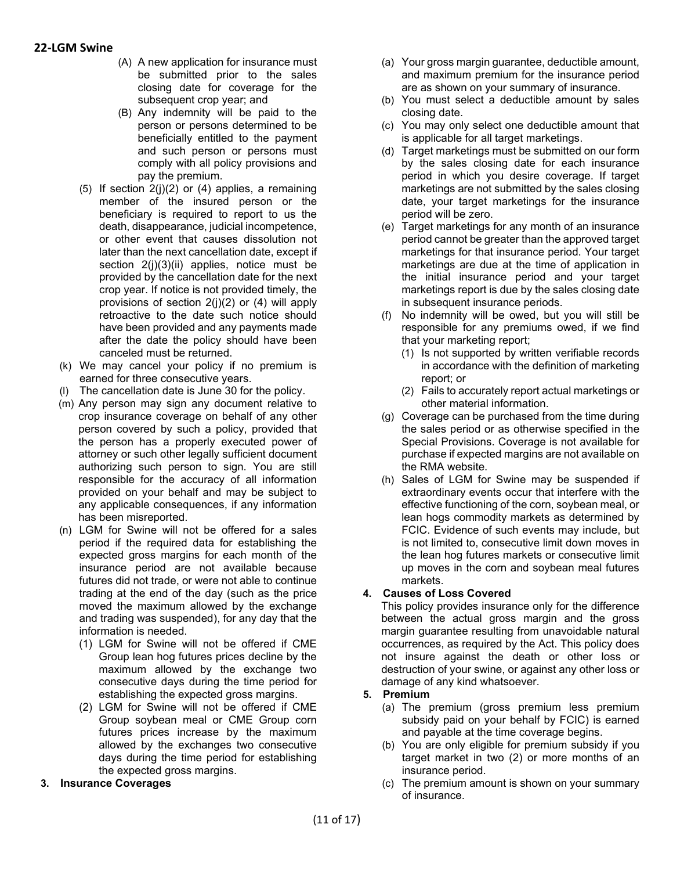- (A) A new application for insurance must be submitted prior to the sales closing date for coverage for the subsequent crop year; and
- (B) Any indemnity will be paid to the person or persons determined to be beneficially entitled to the payment and such person or persons must comply with all policy provisions and pay the premium.
- (5) If section 2(j)(2) or (4) applies, a remaining member of the insured person or the beneficiary is required to report to us the death, disappearance, judicial incompetence, or other event that causes dissolution not later than the next cancellation date, except if section 2(j)(3)(ii) applies, notice must be provided by the cancellation date for the next crop year. If notice is not provided timely, the provisions of section 2(j)(2) or (4) will apply retroactive to the date such notice should have been provided and any payments made after the date the policy should have been canceled must be returned.
- (k) We may cancel your policy if no premium is earned for three consecutive years.
- (l) The cancellation date is June 30 for the policy.
- (m) Any person may sign any document relative to crop insurance coverage on behalf of any other person covered by such a policy, provided that the person has a properly executed power of attorney or such other legally sufficient document authorizing such person to sign. You are still responsible for the accuracy of all information provided on your behalf and may be subject to any applicable consequences, if any information has been misreported.
- (n) LGM for Swine will not be offered for a sales period if the required data for establishing the expected gross margins for each month of the insurance period are not available because futures did not trade, or were not able to continue trading at the end of the day (such as the price moved the maximum allowed by the exchange and trading was suspended), for any day that the information is needed.
	- (1) LGM for Swine will not be offered if CME Group lean hog futures prices decline by the maximum allowed by the exchange two consecutive days during the time period for establishing the expected gross margins.
	- (2) LGM for Swine will not be offered if CME Group soybean meal or CME Group corn futures prices increase by the maximum allowed by the exchanges two consecutive days during the time period for establishing the expected gross margins.

### **3. Insurance Coverages**

- (a) Your gross margin guarantee, deductible amount, and maximum premium for the insurance period are as shown on your summary of insurance.
- (b) You must select a deductible amount by sales closing date.
- (c) You may only select one deductible amount that is applicable for all target marketings.
- (d) Target marketings must be submitted on our form by the sales closing date for each insurance period in which you desire coverage. If target marketings are not submitted by the sales closing date, your target marketings for the insurance period will be zero.
- (e) Target marketings for any month of an insurance period cannot be greater than the approved target marketings for that insurance period. Your target marketings are due at the time of application in the initial insurance period and your target marketings report is due by the sales closing date in subsequent insurance periods.
- (f) No indemnity will be owed, but you will still be responsible for any premiums owed, if we find that your marketing report;
	- (1) Is not supported by written verifiable records in accordance with the definition of marketing report; or
	- (2) Fails to accurately report actual marketings or other material information.
- (g) Coverage can be purchased from the time during the sales period or as otherwise specified in the Special Provisions. Coverage is not available for purchase if expected margins are not available on the RMA website.
- (h) Sales of LGM for Swine may be suspended if extraordinary events occur that interfere with the effective functioning of the corn, soybean meal, or lean hogs commodity markets as determined by FCIC. Evidence of such events may include, but is not limited to, consecutive limit down moves in the lean hog futures markets or consecutive limit up moves in the corn and soybean meal futures markets.

# **4. Causes of Loss Covered**

This policy provides insurance only for the difference between the actual gross margin and the gross margin guarantee resulting from unavoidable natural occurrences, as required by the Act. This policy does not insure against the death or other loss or destruction of your swine, or against any other loss or damage of any kind whatsoever.

### **5. Premium**

- (a) The premium (gross premium less premium subsidy paid on your behalf by FCIC) is earned and payable at the time coverage begins.
- (b) You are only eligible for premium subsidy if you target market in two (2) or more months of an insurance period.
- (c) The premium amount is shown on your summary of insurance.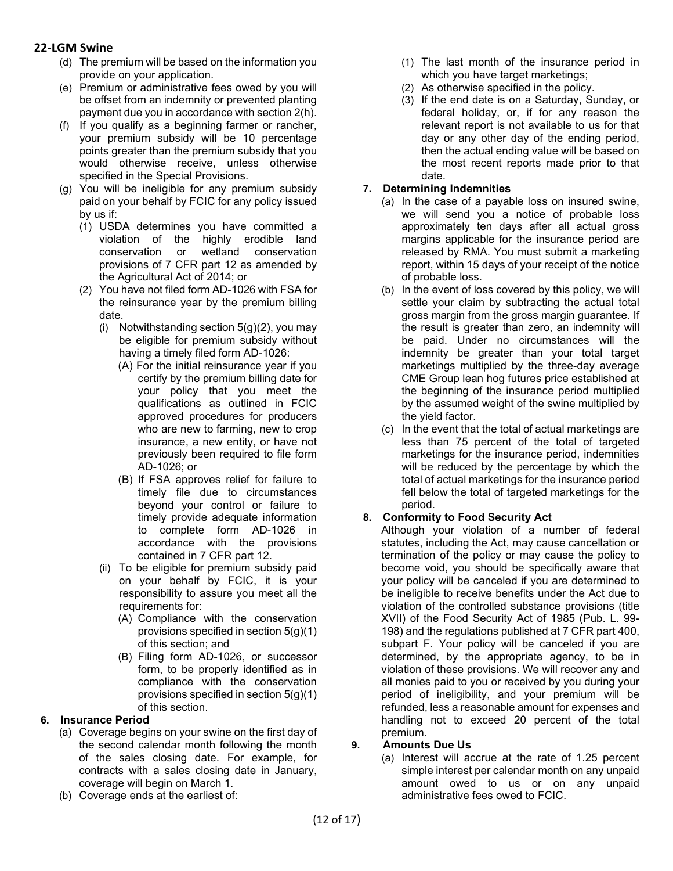- (d) The premium will be based on the information you provide on your application.
- (e) Premium or administrative fees owed by you will be offset from an indemnity or prevented planting payment due you in accordance with section 2(h).
- (f) If you qualify as a beginning farmer or rancher, your premium subsidy will be 10 percentage points greater than the premium subsidy that you would otherwise receive, unless otherwise specified in the Special Provisions.
- (g) You will be ineligible for any premium subsidy paid on your behalf by FCIC for any policy issued by us if:
	- (1) USDA determines you have committed a violation of the highly erodible land conservation or wetland conservation provisions of 7 CFR part 12 as amended by the Agricultural Act of 2014; or
	- (2) You have not filed form AD-1026 with FSA for the reinsurance year by the premium billing date.
		- (i) Notwithstanding section  $5(q)(2)$ , you may be eligible for premium subsidy without having a timely filed form AD-1026:
			- (A) For the initial reinsurance year if you certify by the premium billing date for your policy that you meet the qualifications as outlined in FCIC approved procedures for producers who are new to farming, new to crop insurance, a new entity, or have not previously been required to file form AD-1026; or
			- (B) If FSA approves relief for failure to timely file due to circumstances beyond your control or failure to timely provide adequate information to complete form AD-1026 in accordance with the provisions contained in 7 CFR part 12.
		- (ii) To be eligible for premium subsidy paid on your behalf by FCIC, it is your responsibility to assure you meet all the requirements for:
			- (A) Compliance with the conservation provisions specified in section 5(g)(1) of this section; and
			- (B) Filing form AD-1026, or successor form, to be properly identified as in compliance with the conservation provisions specified in section 5(g)(1) of this section.

### **6. Insurance Period**

- (a) Coverage begins on your swine on the first day of the second calendar month following the month of the sales closing date. For example, for contracts with a sales closing date in January, coverage will begin on March 1.
- (b) Coverage ends at the earliest of:
- (1) The last month of the insurance period in which you have target marketings;
- (2) As otherwise specified in the policy.
- (3) If the end date is on a Saturday, Sunday, or federal holiday, or, if for any reason the relevant report is not available to us for that day or any other day of the ending period, then the actual ending value will be based on the most recent reports made prior to that date.

### **7. Determining Indemnities**

- (a) In the case of a payable loss on insured swine, we will send you a notice of probable loss approximately ten days after all actual gross margins applicable for the insurance period are released by RMA. You must submit a marketing report, within 15 days of your receipt of the notice of probable loss.
- (b) In the event of loss covered by this policy, we will settle your claim by subtracting the actual total gross margin from the gross margin guarantee. If the result is greater than zero, an indemnity will be paid. Under no circumstances will the indemnity be greater than your total target marketings multiplied by the three-day average CME Group lean hog futures price established at the beginning of the insurance period multiplied by the assumed weight of the swine multiplied by the yield factor.
- (c) In the event that the total of actual marketings are less than 75 percent of the total of targeted marketings for the insurance period, indemnities will be reduced by the percentage by which the total of actual marketings for the insurance period fell below the total of targeted marketings for the period.

# **8. Conformity to Food Security Act**

Although your violation of a number of federal statutes, including the Act, may cause cancellation or termination of the policy or may cause the policy to become void, you should be specifically aware that your policy will be canceled if you are determined to be ineligible to receive benefits under the Act due to violation of the controlled substance provisions (title XVII) of the Food Security Act of 1985 (Pub. L. 99- 198) and the regulations published at 7 CFR part 400, subpart F. Your policy will be canceled if you are determined, by the appropriate agency, to be in violation of these provisions. We will recover any and all monies paid to you or received by you during your period of ineligibility, and your premium will be refunded, less a reasonable amount for expenses and handling not to exceed 20 percent of the total premium.

### **9. Amounts Due Us**

(a) Interest will accrue at the rate of 1.25 percent simple interest per calendar month on any unpaid amount owed to us or on any unpaid administrative fees owed to FCIC.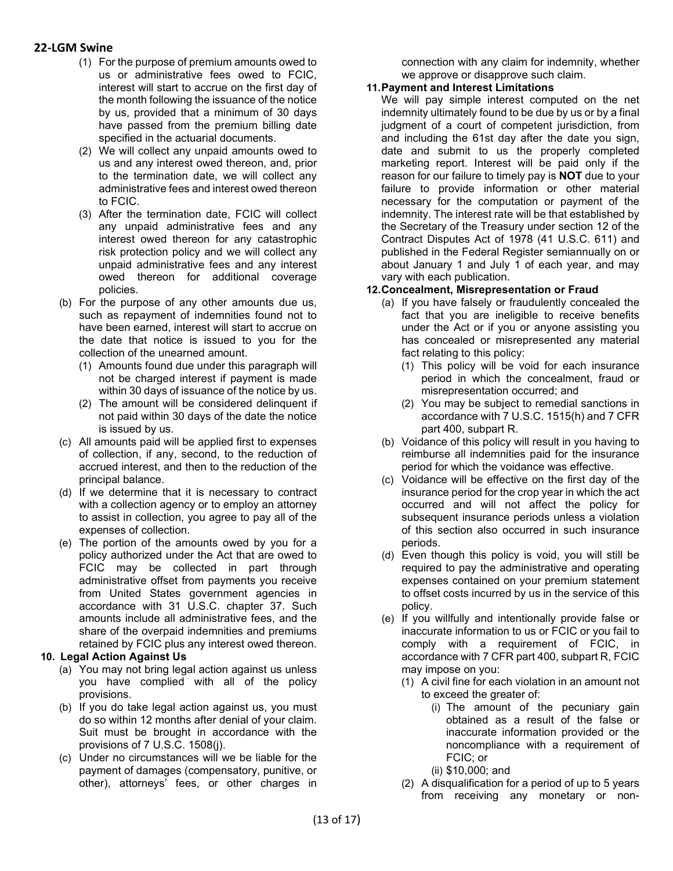- (1) For the purpose of premium amounts owed to us or administrative fees owed to FCIC, interest will start to accrue on the first day of the month following the issuance of the notice by us, provided that a minimum of 30 days have passed from the premium billing date specified in the actuarial documents.
- (2) We will collect any unpaid amounts owed to us and any interest owed thereon, and, prior to the termination date, we will collect any administrative fees and interest owed thereon to FCIC.
- (3) After the termination date, FCIC will collect any unpaid administrative fees and any interest owed thereon for any catastrophic risk protection policy and we will collect any unpaid administrative fees and any interest owed thereon for additional coverage policies.
- (b) For the purpose of any other amounts due us, such as repayment of indemnities found not to have been earned, interest will start to accrue on the date that notice is issued to you for the collection of the unearned amount.
	- (1) Amounts found due under this paragraph will not be charged interest if payment is made within 30 days of issuance of the notice by us.
	- (2) The amount will be considered delinquent if not paid within 30 days of the date the notice is issued by us.
- (c) All amounts paid will be applied first to expenses of collection, if any, second, to the reduction of accrued interest, and then to the reduction of the principal balance.
- (d) If we determine that it is necessary to contract with a collection agency or to employ an attorney to assist in collection, you agree to pay all of the expenses of collection.
- (e) The portion of the amounts owed by you for a policy authorized under the Act that are owed to FCIC may be collected in part through administrative offset from payments you receive from United States government agencies in accordance with 31 U.S.C. chapter 37. Such amounts include all administrative fees, and the share of the overpaid indemnities and premiums retained by FCIC plus any interest owed thereon.

### **10. Legal Action Against Us**

- (a) You may not bring legal action against us unless you have complied with all of the policy provisions.
- (b) If you do take legal action against us, you must do so within 12 months after denial of your claim. Suit must be brought in accordance with the provisions of 7 U.S.C. 1508(j).
- (c) Under no circumstances will we be liable for the payment of damages (compensatory, punitive, or other), attorneys' fees, or other charges in

connection with any claim for indemnity, whether we approve or disapprove such claim.

### **11.Payment and Interest Limitations**

We will pay simple interest computed on the net indemnity ultimately found to be due by us or by a final judgment of a court of competent jurisdiction, from and including the 61st day after the date you sign, date and submit to us the properly completed marketing report. Interest will be paid only if the reason for our failure to timely pay is **NOT** due to your failure to provide information or other material necessary for the computation or payment of the indemnity. The interest rate will be that established by the Secretary of the Treasury under section 12 of the Contract Disputes Act of 1978 (41 U.S.C. 611) and published in the Federal Register semiannually on or about January 1 and July 1 of each year, and may vary with each publication.

### **12.Concealment, Misrepresentation or Fraud**

- (a) If you have falsely or fraudulently concealed the fact that you are ineligible to receive benefits under the Act or if you or anyone assisting you has concealed or misrepresented any material fact relating to this policy:
	- (1) This policy will be void for each insurance period in which the concealment, fraud or misrepresentation occurred; and
	- (2) You may be subject to remedial sanctions in accordance with 7 U.S.C. 1515(h) and 7 CFR part 400, subpart R.
- (b) Voidance of this policy will result in you having to reimburse all indemnities paid for the insurance period for which the voidance was effective.
- (c) Voidance will be effective on the first day of the insurance period for the crop year in which the act occurred and will not affect the policy for subsequent insurance periods unless a violation of this section also occurred in such insurance periods.
- (d) Even though this policy is void, you will still be required to pay the administrative and operating expenses contained on your premium statement to offset costs incurred by us in the service of this policy.
- (e) If you willfully and intentionally provide false or inaccurate information to us or FCIC or you fail to comply with a requirement of FCIC, in accordance with 7 CFR part 400, subpart R, FCIC may impose on you:
	- (1) A civil fine for each violation in an amount not to exceed the greater of:
		- (i) The amount of the pecuniary gain obtained as a result of the false or inaccurate information provided or the noncompliance with a requirement of FCIC; or
		- (ii) \$10,000; and
	- (2) A disqualification for a period of up to 5 years from receiving any monetary or non-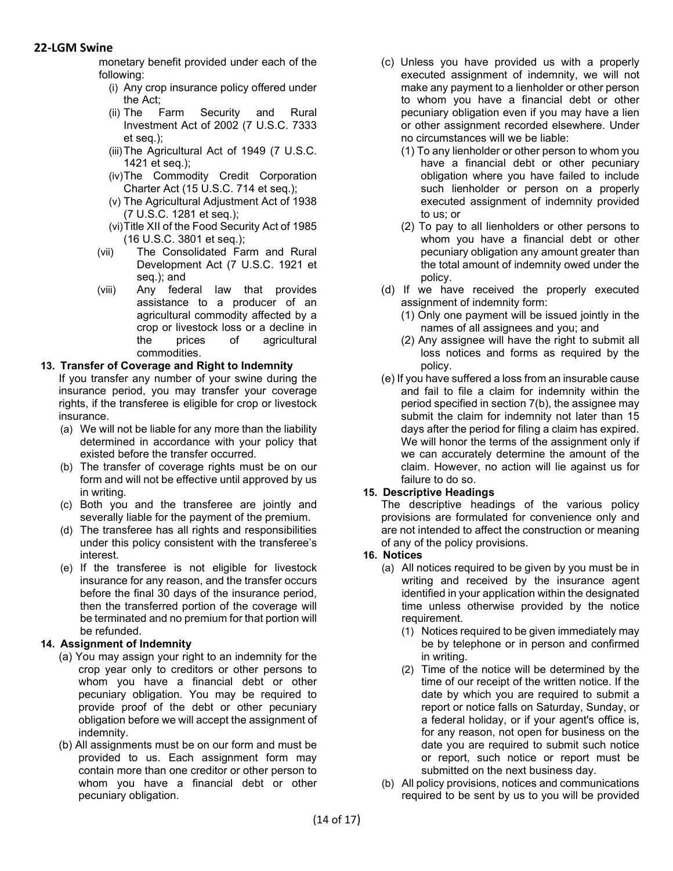monetary benefit provided under each of the following:

- (i) Any crop insurance policy offered under the Act;
- (ii) The Farm Security and Rural Investment Act of 2002 (7 U.S.C. 7333 et seq.);
- (iii)The Agricultural Act of 1949 (7 U.S.C. 1421 et seq.);
- (iv)The Commodity Credit Corporation Charter Act (15 U.S.C. 714 et seq.);
- (v) The Agricultural Adjustment Act of 1938 (7 U.S.C. 1281 et seq.);
- (vi)Title XII of the Food Security Act of 1985 (16 U.S.C. 3801 et seq.);
- (vii) The Consolidated Farm and Rural Development Act (7 U.S.C. 1921 et seq.); and
- (viii) Any federal law that provides assistance to a producer of an agricultural commodity affected by a crop or livestock loss or a decline in the prices of agricultural commodities.

## **13. Transfer of Coverage and Right to Indemnity**

If you transfer any number of your swine during the insurance period, you may transfer your coverage rights, if the transferee is eligible for crop or livestock insurance.

- (a) We will not be liable for any more than the liability determined in accordance with your policy that existed before the transfer occurred.
- (b) The transfer of coverage rights must be on our form and will not be effective until approved by us in writing.
- (c) Both you and the transferee are jointly and severally liable for the payment of the premium.
- (d) The transferee has all rights and responsibilities under this policy consistent with the transferee's interest.
- (e) If the transferee is not eligible for livestock insurance for any reason, and the transfer occurs before the final 30 days of the insurance period, then the transferred portion of the coverage will be terminated and no premium for that portion will be refunded.

# **14. Assignment of Indemnity**

- (a) You may assign your right to an indemnity for the crop year only to creditors or other persons to whom you have a financial debt or other pecuniary obligation. You may be required to provide proof of the debt or other pecuniary obligation before we will accept the assignment of indemnity.
- (b) All assignments must be on our form and must be provided to us. Each assignment form may contain more than one creditor or other person to whom you have a financial debt or other pecuniary obligation.
- (c) Unless you have provided us with a properly executed assignment of indemnity, we will not make any payment to a lienholder or other person to whom you have a financial debt or other pecuniary obligation even if you may have a lien or other assignment recorded elsewhere. Under no circumstances will we be liable:
	- (1) To any lienholder or other person to whom you have a financial debt or other pecuniary obligation where you have failed to include such lienholder or person on a properly executed assignment of indemnity provided to us; or
	- (2) To pay to all lienholders or other persons to whom you have a financial debt or other pecuniary obligation any amount greater than the total amount of indemnity owed under the policy.
- (d) If we have received the properly executed assignment of indemnity form:
	- (1) Only one payment will be issued jointly in the names of all assignees and you; and
	- (2) Any assignee will have the right to submit all loss notices and forms as required by the policy.
- (e) If you have suffered a loss from an insurable cause and fail to file a claim for indemnity within the period specified in section 7(b), the assignee may submit the claim for indemnity not later than 15 days after the period for filing a claim has expired. We will honor the terms of the assignment only if we can accurately determine the amount of the claim. However, no action will lie against us for failure to do so.

# **15. Descriptive Headings**

The descriptive headings of the various policy provisions are formulated for convenience only and are not intended to affect the construction or meaning of any of the policy provisions.

### **16. Notices**

- (a) All notices required to be given by you must be in writing and received by the insurance agent identified in your application within the designated time unless otherwise provided by the notice requirement.
	- (1) Notices required to be given immediately may be by telephone or in person and confirmed in writing.
	- (2) Time of the notice will be determined by the time of our receipt of the written notice. If the date by which you are required to submit a report or notice falls on Saturday, Sunday, or a federal holiday, or if your agent's office is, for any reason, not open for business on the date you are required to submit such notice or report, such notice or report must be submitted on the next business day.
- (b) All policy provisions, notices and communications required to be sent by us to you will be provided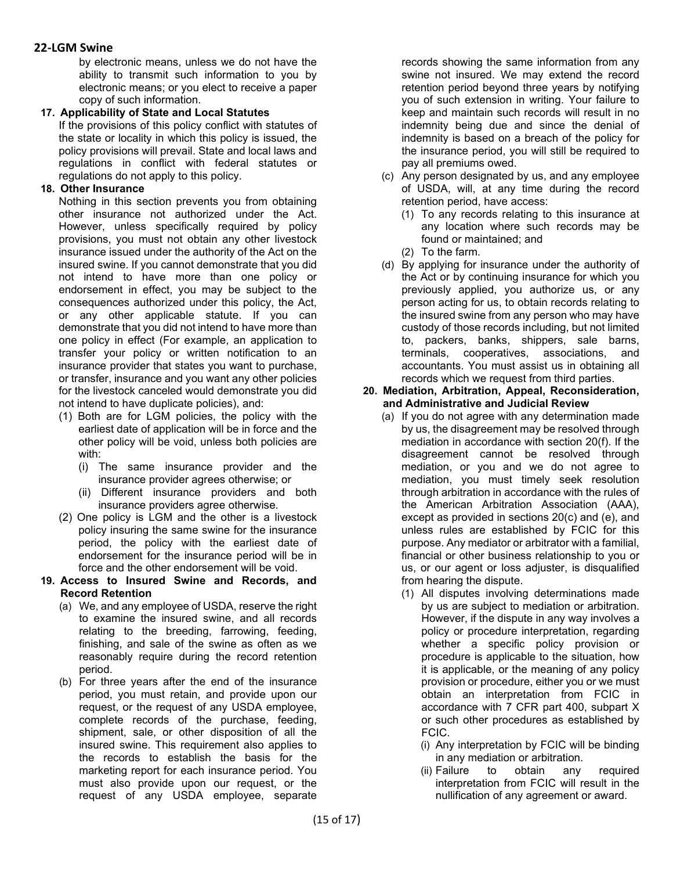by electronic means, unless we do not have the ability to transmit such information to you by electronic means; or you elect to receive a paper copy of such information.

### **17. Applicability of State and Local Statutes**

If the provisions of this policy conflict with statutes of the state or locality in which this policy is issued, the policy provisions will prevail. State and local laws and regulations in conflict with federal statutes or regulations do not apply to this policy.

# **18. Other Insurance**

Nothing in this section prevents you from obtaining other insurance not authorized under the Act. However, unless specifically required by policy provisions, you must not obtain any other livestock insurance issued under the authority of the Act on the insured swine. If you cannot demonstrate that you did not intend to have more than one policy or endorsement in effect, you may be subject to the consequences authorized under this policy, the Act, or any other applicable statute. If you can demonstrate that you did not intend to have more than one policy in effect (For example, an application to transfer your policy or written notification to an insurance provider that states you want to purchase, or transfer, insurance and you want any other policies for the livestock canceled would demonstrate you did not intend to have duplicate policies), and:

- (1) Both are for LGM policies, the policy with the earliest date of application will be in force and the other policy will be void, unless both policies are with:
	- (i) The same insurance provider and the insurance provider agrees otherwise; or
	- (ii) Different insurance providers and both insurance providers agree otherwise.
- (2) One policy is LGM and the other is a livestock policy insuring the same swine for the insurance period, the policy with the earliest date of endorsement for the insurance period will be in force and the other endorsement will be void.

#### **19. Access to Insured Swine and Records, and Record Retention**

- (a) We, and any employee of USDA, reserve the right to examine the insured swine, and all records relating to the breeding, farrowing, feeding, finishing, and sale of the swine as often as we reasonably require during the record retention period.
- (b) For three years after the end of the insurance period, you must retain, and provide upon our request, or the request of any USDA employee, complete records of the purchase, feeding, shipment, sale, or other disposition of all the insured swine. This requirement also applies to the records to establish the basis for the marketing report for each insurance period. You must also provide upon our request, or the request of any USDA employee, separate

records showing the same information from any swine not insured. We may extend the record retention period beyond three years by notifying you of such extension in writing. Your failure to keep and maintain such records will result in no indemnity being due and since the denial of indemnity is based on a breach of the policy for the insurance period, you will still be required to pay all premiums owed.

- (c) Any person designated by us, and any employee of USDA, will, at any time during the record retention period, have access:
	- (1) To any records relating to this insurance at any location where such records may be found or maintained; and
	- (2) To the farm.
- (d) By applying for insurance under the authority of the Act or by continuing insurance for which you previously applied, you authorize us, or any person acting for us, to obtain records relating to the insured swine from any person who may have custody of those records including, but not limited to, packers, banks, shippers, sale barns, terminals, cooperatives, associations, and accountants. You must assist us in obtaining all records which we request from third parties.

#### **20. Mediation, Arbitration, Appeal, Reconsideration, and Administrative and Judicial Review**

- (a) If you do not agree with any determination made by us, the disagreement may be resolved through mediation in accordance with section 20(f). If the disagreement cannot be resolved through mediation, or you and we do not agree to mediation, you must timely seek resolution through arbitration in accordance with the rules of the American Arbitration Association (AAA), except as provided in sections 20(c) and (e), and unless rules are established by FCIC for this purpose. Any mediator or arbitrator with a familial, financial or other business relationship to you or us, or our agent or loss adjuster, is disqualified from hearing the dispute.
	- (1) All disputes involving determinations made by us are subject to mediation or arbitration. However, if the dispute in any way involves a policy or procedure interpretation, regarding whether a specific policy provision or procedure is applicable to the situation, how it is applicable, or the meaning of any policy provision or procedure, either you or we must obtain an interpretation from FCIC in accordance with 7 CFR part 400, subpart X or such other procedures as established by FCIC.
		- (i) Any interpretation by FCIC will be binding in any mediation or arbitration.
		- (ii) Failure to obtain any required interpretation from FCIC will result in the nullification of any agreement or award.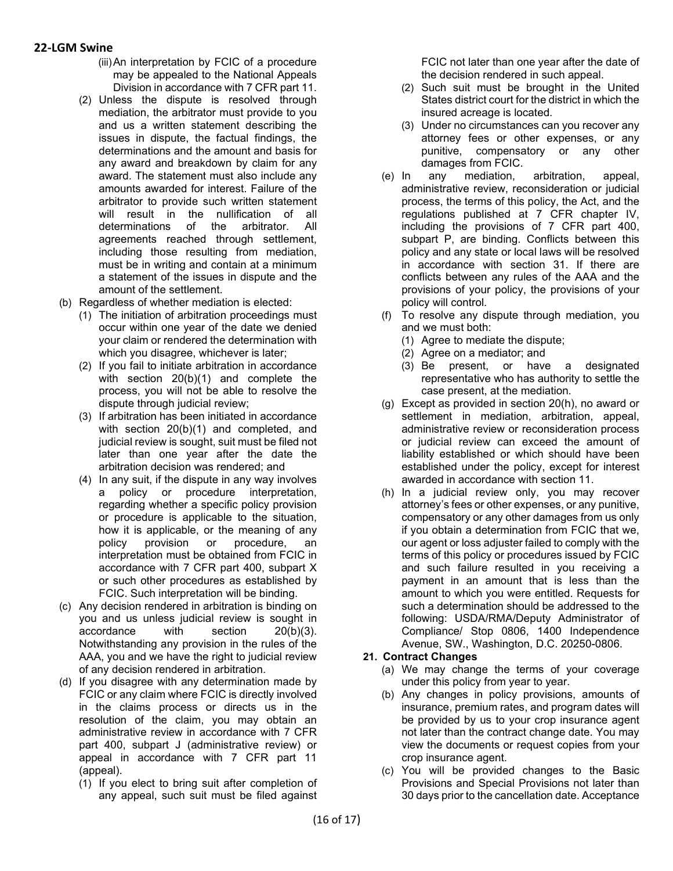- (iii)An interpretation by FCIC of a procedure may be appealed to the National Appeals Division in accordance with 7 CFR part 11.
- (2) Unless the dispute is resolved through mediation, the arbitrator must provide to you and us a written statement describing the issues in dispute, the factual findings, the determinations and the amount and basis for any award and breakdown by claim for any award. The statement must also include any amounts awarded for interest. Failure of the arbitrator to provide such written statement will result in the nullification of all determinations of the arbitrator. All agreements reached through settlement, including those resulting from mediation, must be in writing and contain at a minimum a statement of the issues in dispute and the amount of the settlement.
- (b) Regardless of whether mediation is elected:
	- (1) The initiation of arbitration proceedings must occur within one year of the date we denied your claim or rendered the determination with which you disagree, whichever is later;
	- (2) If you fail to initiate arbitration in accordance with section 20(b)(1) and complete the process, you will not be able to resolve the dispute through judicial review;
	- (3) If arbitration has been initiated in accordance with section 20(b)(1) and completed, and judicial review is sought, suit must be filed not later than one year after the date the arbitration decision was rendered; and
	- (4) In any suit, if the dispute in any way involves a policy or procedure interpretation, regarding whether a specific policy provision or procedure is applicable to the situation, how it is applicable, or the meaning of any policy provision or procedure, an interpretation must be obtained from FCIC in accordance with 7 CFR part 400, subpart X or such other procedures as established by FCIC. Such interpretation will be binding.
- (c) Any decision rendered in arbitration is binding on you and us unless judicial review is sought in accordance with section 20(b)(3). Notwithstanding any provision in the rules of the AAA, you and we have the right to judicial review of any decision rendered in arbitration.
- (d) If you disagree with any determination made by FCIC or any claim where FCIC is directly involved in the claims process or directs us in the resolution of the claim, you may obtain an administrative review in accordance with 7 CFR part 400, subpart J (administrative review) or appeal in accordance with 7 CFR part 11 (appeal).
	- (1) If you elect to bring suit after completion of any appeal, such suit must be filed against

FCIC not later than one year after the date of the decision rendered in such appeal.

- (2) Such suit must be brought in the United States district court for the district in which the insured acreage is located.
- (3) Under no circumstances can you recover any attorney fees or other expenses, or any punitive, compensatory or any other damages from FCIC.
- (e) In any mediation, arbitration, appeal, administrative review, reconsideration or judicial process, the terms of this policy, the Act, and the regulations published at 7 CFR chapter IV, including the provisions of 7 CFR part 400, subpart P, are binding. Conflicts between this policy and any state or local laws will be resolved in accordance with section 31. If there are conflicts between any rules of the AAA and the provisions of your policy, the provisions of your policy will control.
- (f) To resolve any dispute through mediation, you and we must both:
	- (1) Agree to mediate the dispute;
	- (2) Agree on a mediator; and
	- (3) Be present, or have a designated representative who has authority to settle the case present, at the mediation.
- (g) Except as provided in section 20(h), no award or settlement in mediation, arbitration, appeal, administrative review or reconsideration process or judicial review can exceed the amount of liability established or which should have been established under the policy, except for interest awarded in accordance with section 11.
- (h) In a judicial review only, you may recover attorney's fees or other expenses, or any punitive, compensatory or any other damages from us only if you obtain a determination from FCIC that we, our agent or loss adjuster failed to comply with the terms of this policy or procedures issued by FCIC and such failure resulted in you receiving a payment in an amount that is less than the amount to which you were entitled. Requests for such a determination should be addressed to the following: USDA/RMA/Deputy Administrator of Compliance/ Stop 0806, 1400 Independence Avenue, SW., Washington, D.C. 20250-0806.

### **21. Contract Changes**

- (a) We may change the terms of your coverage under this policy from year to year.
- (b) Any changes in policy provisions, amounts of insurance, premium rates, and program dates will be provided by us to your crop insurance agent not later than the contract change date. You may view the documents or request copies from your crop insurance agent.
- (c) You will be provided changes to the Basic Provisions and Special Provisions not later than 30 days prior to the cancellation date. Acceptance